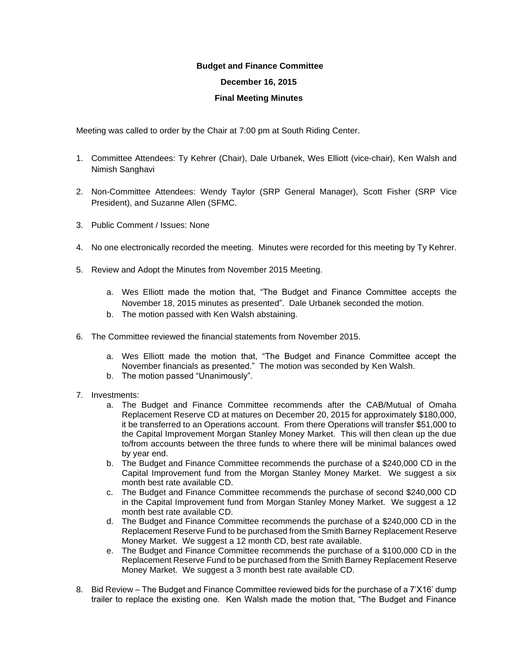## **Budget and Finance Committee**

## **December 16, 2015**

## **Final Meeting Minutes**

Meeting was called to order by the Chair at 7:00 pm at South Riding Center.

- 1. Committee Attendees: Ty Kehrer (Chair), Dale Urbanek, Wes Elliott (vice-chair), Ken Walsh and Nimish Sanghavi
- 2. Non-Committee Attendees: Wendy Taylor (SRP General Manager), Scott Fisher (SRP Vice President), and Suzanne Allen (SFMC.
- 3. Public Comment / Issues: None
- 4. No one electronically recorded the meeting. Minutes were recorded for this meeting by Ty Kehrer.
- 5. Review and Adopt the Minutes from November 2015 Meeting.
	- a. Wes Elliott made the motion that, "The Budget and Finance Committee accepts the November 18, 2015 minutes as presented". Dale Urbanek seconded the motion.
	- b. The motion passed with Ken Walsh abstaining.
- 6. The Committee reviewed the financial statements from November 2015.
	- a. Wes Elliott made the motion that, "The Budget and Finance Committee accept the November financials as presented." The motion was seconded by Ken Walsh.
	- b. The motion passed "Unanimously".
- 7. Investments:
	- a. The Budget and Finance Committee recommends after the CAB/Mutual of Omaha Replacement Reserve CD at matures on December 20, 2015 for approximately \$180,000, it be transferred to an Operations account. From there Operations will transfer \$51,000 to the Capital Improvement Morgan Stanley Money Market. This will then clean up the due to/from accounts between the three funds to where there will be minimal balances owed by year end.
	- b. The Budget and Finance Committee recommends the purchase of a \$240,000 CD in the Capital Improvement fund from the Morgan Stanley Money Market. We suggest a six month best rate available CD.
	- c. The Budget and Finance Committee recommends the purchase of second \$240,000 CD in the Capital Improvement fund from Morgan Stanley Money Market. We suggest a 12 month best rate available CD.
	- d. The Budget and Finance Committee recommends the purchase of a \$240,000 CD in the Replacement Reserve Fund to be purchased from the Smith Barney Replacement Reserve Money Market. We suggest a 12 month CD, best rate available.
	- e. The Budget and Finance Committee recommends the purchase of a \$100,000 CD in the Replacement Reserve Fund to be purchased from the Smith Barney Replacement Reserve Money Market. We suggest a 3 month best rate available CD.
- 8. Bid Review The Budget and Finance Committee reviewed bids for the purchase of a 7'X16' dump trailer to replace the existing one. Ken Walsh made the motion that, "The Budget and Finance